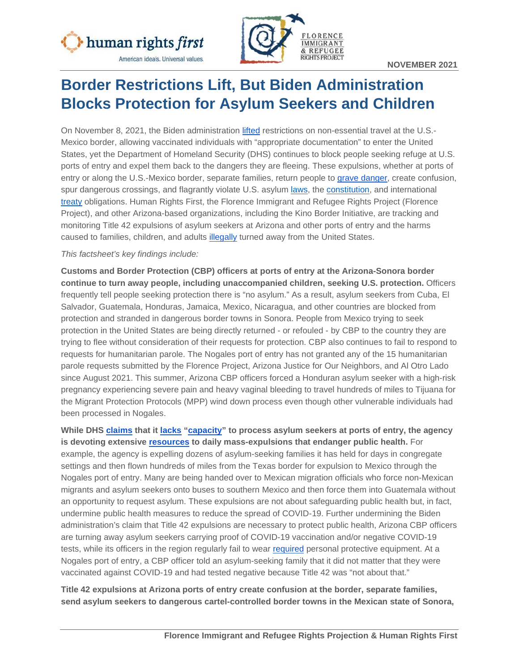



# **Border Restrictions Lift, But Biden Administration Blocks Protection for Asylum Seekers and Children**

On November 8, 2021, the Biden administration [lifted](https://www.dhs.gov/news/2021/10/29/dhs-releases-details-fully-vaccinated-non-citizen-travelers-enter-us-land-and-ferry) restrictions on non-essential travel at the U.S.- Mexico border, allowing vaccinated individuals with "appropriate documentation" to enter the United States, yet the Department of Homeland Security (DHS) continues to block people seeking refuge at U.S. ports of entry and expel them back to the dangers they are fleeing. These expulsions, whether at ports of entry or along the U.S.-Mexico border, separate families, return people to [grave danger,](https://www.humanrightsfirst.org/resource/request-precautionary-measures-against-us-title-42-expulsions) create confusion, spur dangerous crossings, and flagrantly violate U.S. asylum [laws,](https://uscode.house.gov/view.xhtml?req=granuleid:USC-prelim-title8-section1158&num=0&edition=prelim) the [constitution,](https://www.justsecurity.org/69640/coronavirus-border-expulsions-cdcs-assault-on-asylum-seekers-and-unaccompanied-minors/) and international [treaty](https://www.justsecurity.org/73593/covid-19-and-international-law-refugee-law-the-principle-of-non-refoulement/) obligations. Human Rights First, the Florence Immigrant and Refugee Rights Project (Florence Project), and other Arizona-based organizations, including the Kino Border Initiative, are tracking and monitoring Title 42 expulsions of asylum seekers at Arizona and other ports of entry and the harms caused to families, children, and adults [illegally](https://www.justsecurity.org/69640/coronavirus-border-expulsions-cdcs-assault-on-asylum-seekers-and-unaccompanied-minors/) turned away from the United States.

#### *This factsheet's key findings include:*

**Customs and Border Protection (CBP) officers at ports of entry at the Arizona-Sonora border continue to turn away people, including unaccompanied children, seeking U.S. protection.** Officers frequently tell people seeking protection there is "no asylum." As a result, asylum seekers from Cuba, El Salvador, Guatemala, Honduras, Jamaica, Mexico, Nicaragua, and other countries are blocked from protection and stranded in dangerous border towns in Sonora. People from Mexico trying to seek protection in the United States are being directly returned - or refouled - by CBP to the country they are trying to flee without consideration of their requests for protection. CBP also continues to fail to respond to requests for humanitarian parole. The Nogales port of entry has not granted any of the 15 humanitarian parole requests submitted by the Florence Project, Arizona Justice for Our Neighbors, and Al Otro Lado since August 2021. This summer, Arizona CBP officers forced a Honduran asylum seeker with a high-risk pregnancy experiencing severe pain and heavy vaginal bleeding to travel hundreds of miles to Tijuana for the Migrant Protection Protocols (MPP) wind down process even though other vulnerable individuals had been processed in Nogales.

**While DHS [claims](https://nypost.com/2021/09/28/dhs-chief-alejandro-mayorkas-says-1-in-5-migrants-have-illness-after-del-rio-fiasco/) that it [lacks](https://int.nyt.com/data/documenttools/shahoulian-declaration/1b52f4354fb0d655/full.pdf) ["capacity"](https://www.dhs.gov/news/2021/08/12/secretary-mayorkas-delivers-remarks-brownsville-texas) to process asylum seekers at ports of entry, the agency is devoting extensive [resources](https://www.humanrightsfirst.org/sites/default/files/IllegalandInhumane.pdf) to daily mass-expulsions that endanger public health.** For example, the agency is expelling dozens of asylum-seeking families it has held for days in congregate settings and then flown hundreds of miles from the Texas border for expulsion to Mexico through the Nogales port of entry. Many are being handed over to Mexican migration officials who force non-Mexican migrants and asylum seekers onto buses to southern Mexico and then force them into Guatemala without an opportunity to request asylum. These expulsions are not about safeguarding public health but, in fact, undermine public health measures to reduce the spread of COVID-19. Further undermining the Biden administration's claim that Title 42 expulsions are necessary to protect public health, Arizona CBP officers are turning away asylum seekers carrying proof of COVID-19 vaccination and/or negative COVID-19 tests, while its officers in the region regularly fail to wear [required](https://tucson.com/news/local/border-officers-in-arizona-now-must-wear-masks-during-pandemic/article_6fdc4fe7-2e56-5ce4-88b6-5201080faa9f.html) personal protective equipment. At a Nogales port of entry, a CBP officer told an asylum-seeking family that it did not matter that they were vaccinated against COVID-19 and had tested negative because Title 42 was "not about that."

**Title 42 expulsions at Arizona ports of entry create confusion at the border, separate families, send asylum seekers to dangerous cartel-controlled border towns in the Mexican state of Sonora,**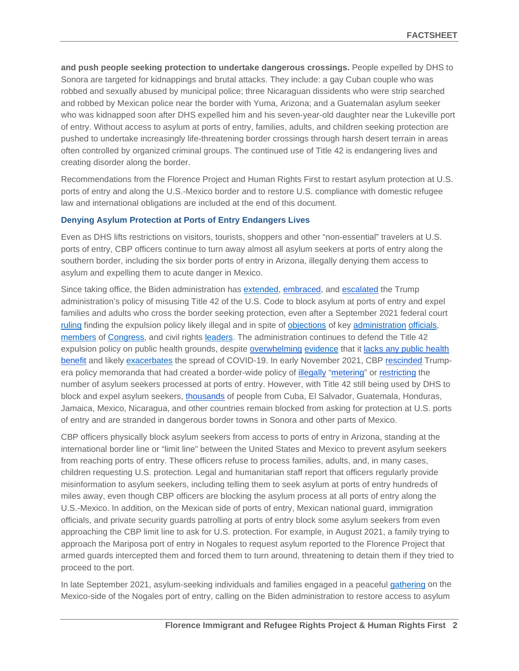**and push people seeking protection to undertake dangerous crossings.** People expelled by DHS to Sonora are targeted for kidnappings and brutal attacks. They include: a gay Cuban couple who was robbed and sexually abused by municipal police; three Nicaraguan dissidents who were strip searched and robbed by Mexican police near the border with Yuma, Arizona; and a Guatemalan asylum seeker who was kidnapped soon after DHS expelled him and his seven-year-old daughter near the Lukeville port of entry. Without access to asylum at ports of entry, families, adults, and children seeking protection are pushed to undertake increasingly life-threatening border crossings through harsh desert terrain in areas often controlled by organized criminal groups. The continued use of Title 42 is endangering lives and creating disorder along the border.

Recommendations from the Florence Project and Human Rights First to restart asylum protection at U.S. ports of entry and along the U.S.-Mexico border and to restore U.S. compliance with domestic refugee law and international obligations are included at the end of this document.

#### **Denying Asylum Protection at Ports of Entry Endangers Lives**

Even as DHS lifts restrictions on visitors, tourists, shoppers and other "non-essential" travelers at U.S. ports of entry, CBP officers continue to turn away almost all asylum seekers at ports of entry along the southern border, including the six border ports of entry in Arizona, illegally denying them access to asylum and expelling them to acute danger in Mexico.

Since taking office, the Biden administration has [extended,](https://www.cdc.gov/media/releases/2021/s1002-sixty-day-assessment-order.html) [embraced,](https://www.humanrightsfirst.org/resource/illegal-and-inhumane-biden-administration-continues-embrace-trump-title-42-policy-attacks) and [escalated](https://www.rollingstone.com/politics/politics-news/biden-administration-title-42-haitian-refugee-expulsions-1229299/) the Trump administration's policy of misusing Title 42 of the U.S. Code to block asylum at ports of entry and expel families and adults who cross the border seeking protection, even after a September 2021 federal court [ruling](https://www.acludc.org/sites/default/files/field_documents/huisha_ddc_decision_granting_class_cert_injunction_9.16.21.pdf) finding the expulsion policy likely illegal and in spite of [objections](https://www.politico.com/f/?id=0000017c-4c4a-dddc-a77e-4ddbf3ae0000) of key [administration](https://drive.google.com/file/d/14LVnU91yCVAb3O5ujd39h-jhBuXN3FA2/view) [officials,](https://www.forbes.com/sites/alisondurkee/2021/10/03/fauci-says-immigrants-are-absolutely-not-driving-covid-19-surge-lets-face-reality-here/?sh=4878146d173d) [members](https://pressley.house.gov/sites/pressley.house.gov/files/Halt%20Haitian%20Deportation%20Letter%20to%20Biden_Final.pdf) of [Congress,](https://www.foreign.senate.gov/imo/media/doc/10-07-21%20Bipartisan%20Letter%20to%20Sec.%20Mayorkas%20and%20Sec.%20Blinken%20re%20Treatment%20of%20Haitians%20Migrants.pdf) and civil rights [leaders.](https://civilrights.org/resource/pause-deportation-of-haitians-and-respect-due-process/) The administration continues to defend the Title 42 expulsion policy on public health grounds, despite [overwhelming](https://www.publichealth.columbia.edu/public-health-now/news/public-health-experts-urge-us-officials-withdraw-order-enabling-mass-expulsion-asylum-seekers) [evidence](https://www.publichealth.columbia.edu/research/program-forced-migration-and-health/letter-cdc-director-walensky-hhs-secretary-becerra-and-dhs-secretary-mayorkas-august-2021-title-42-0) that it [lacks any public health](https://phr.org/our-work/resources/u-s-medical-professionals-demand-cdc-end-title-42/)  [benefit](https://phr.org/our-work/resources/u-s-medical-professionals-demand-cdc-end-title-42/) and likely [exacerbates](https://www.publichealth.columbia.edu/node/76271) the spread of COVID-19. In early November 2021, CBP [rescinded](https://www.cbp.gov/sites/default/files/assets/documents/2021-Nov/CBP-mgmt-processing-non-citizens-swb-lpoes-signed-Memo-11.1.2021-508.pdf) Trumpera policy memoranda that had created a border-wide policy of [illegally](https://ccrjustice.org/sites/default/files/attach/2021/09/742%20Order%20granting%20in%20part%20Plaintiffs%20Motion%20for%20Summary%20Judgment%202021.08.02.pdf) ["metering"](https://www.oig.dhs.gov/sites/default/files/assets/2020-10/OIG-21-02-Oct20.pdf) or [restricting](https://www.humanrightsfirst.org/sites/default/files/hrf-crossing-the-line-report.pdf) the number of asylum seekers processed at ports of entry. However, with Title 42 still being used by DHS to block and expel asylum seekers, [thousands](https://www.strausscenter.org/wp-content/uploads/August_2021_Metering.pdf) of people from Cuba, El Salvador, Guatemala, Honduras, Jamaica, Mexico, Nicaragua, and other countries remain blocked from asking for protection at U.S. ports of entry and are stranded in dangerous border towns in Sonora and other parts of Mexico.

CBP officers physically block asylum seekers from access to ports of entry in Arizona, standing at the international border line or "limit line" between the United States and Mexico to prevent asylum seekers from reaching ports of entry. These officers refuse to process families, adults, and, in many cases, children requesting U.S. protection. Legal and humanitarian staff report that officers regularly provide misinformation to asylum seekers, including telling them to seek asylum at ports of entry hundreds of miles away, even though CBP officers are blocking the asylum process at all ports of entry along the U.S.-Mexico. In addition, on the Mexican side of ports of entry, Mexican national guard, immigration officials, and private security guards patrolling at ports of entry block some asylum seekers from even approaching the CBP limit line to ask for U.S. protection. For example, in August 2021, a family trying to approach the Mariposa port of entry in Nogales to request asylum reported to the Florence Project that armed guards intercepted them and forced them to turn around, threatening to detain them if they tried to proceed to the port.

In late September 2021, asylum-seeking individuals and families engaged in a peaceful [gathering](https://www.kinoborderinitiative.org/press-release-cbp-closed-port-of-entry-after-denying-access-to-migrant-family-seeking-asylum-accompanied-by-tucson-bishop-edward-weisenburger/) on the Mexico-side of the Nogales port of entry, calling on the Biden administration to restore access to asylum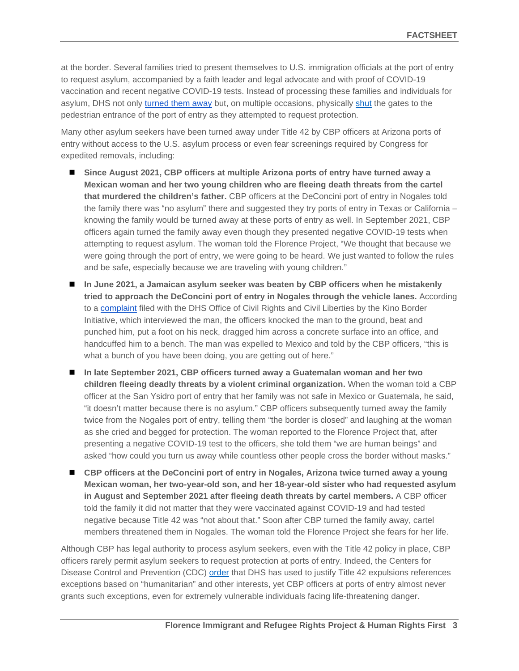at the border. Several families tried to present themselves to U.S. immigration officials at the port of entry to request asylum, accompanied by a faith leader and legal advocate and with proof of COVID-19 vaccination and recent negative COVID-19 tests. Instead of processing these families and individuals for asylum, DHS not only [turned them away](https://www.kinoborderinitiative.org/press-release-cbp-closed-port-of-entry-after-denying-access-to-migrant-family-seeking-asylum-accompanied-by-tucson-bishop-edward-weisenburger/) but, on multiple occasions, physically [shut](https://urldefense.com/v3/__https:/www.youtube.com/watch?v=f_m2KyVGuNw__;!!Lk31oBA0z-9QMnO0!Wi-jV55aTTZkbCWnXfod7DP8vLoWxwIqNRRmMKUsLDRQZPoGzPjP_qxFErAEGhNsHRt_WG0$) the gates to the pedestrian entrance of the port of entry as they attempted to request protection.

Many other asylum seekers have been turned away under Title 42 by CBP officers at Arizona ports of entry without access to the U.S. asylum process or even fear screenings required by Congress for expedited removals, including:

- Since August 2021, CBP officers at multiple Arizona ports of entry have turned away a **Mexican woman and her two young children who are fleeing death threats from the cartel that murdered the children's father.** CBP officers at the DeConcini port of entry in Nogales told the family there was "no asylum" there and suggested they try ports of entry in Texas or California – knowing the family would be turned away at these ports of entry as well. In September 2021, CBP officers again turned the family away even though they presented negative COVID-19 tests when attempting to request asylum. The woman told the Florence Project, "We thought that because we were going through the port of entry, we were going to be heard. We just wanted to follow the rules and be safe, especially because we are traveling with young children."
- **In June 2021, a Jamaican asylum seeker was beaten by CBP officers when he mistakenly tried to approach the DeConcini port of entry in Nogales through the vehicle lanes.** According to a [complaint](https://www.kinoborderinitiative.org/wp-content/uploads/2021/08/KINO-NETWORK-CBP-Abuses-consolidated.pdf) filed with the DHS Office of Civil Rights and Civil Liberties by the Kino Border Initiative, which interviewed the man, the officers knocked the man to the ground, beat and punched him, put a foot on his neck, dragged him across a concrete surface into an office, and handcuffed him to a bench. The man was expelled to Mexico and told by the CBP officers, "this is what a bunch of you have been doing, you are getting out of here."
- **In late September 2021, CBP officers turned away a Guatemalan woman and her two children fleeing deadly threats by a violent criminal organization.** When the woman told a CBP officer at the San Ysidro port of entry that her family was not safe in Mexico or Guatemala, he said, "it doesn't matter because there is no asylum." CBP officers subsequently turned away the family twice from the Nogales port of entry, telling them "the border is closed" and laughing at the woman as she cried and begged for protection. The woman reported to the Florence Project that, after presenting a negative COVID-19 test to the officers, she told them "we are human beings" and asked "how could you turn us away while countless other people cross the border without masks."
- CBP officers at the DeConcini port of entry in Nogales, Arizona twice turned away a young **Mexican woman, her two-year-old son, and her 18-year-old sister who had requested asylum in August and September 2021 after fleeing death threats by cartel members.** A CBP officer told the family it did not matter that they were vaccinated against COVID-19 and had tested negative because Title 42 was "not about that." Soon after CBP turned the family away, cartel members threatened them in Nogales. The woman told the Florence Project she fears for her life.

Although CBP has legal authority to process asylum seekers, even with the Title 42 policy in place, CBP officers rarely permit asylum seekers to request protection at ports of entry. Indeed, the Centers for Disease Control and Prevention (CDC) [order](https://www.govinfo.gov/content/pkg/FR-2021-08-05/pdf/2021-16856.pdf) that DHS has used to justify Title 42 expulsions references exceptions based on "humanitarian" and other interests, yet CBP officers at ports of entry almost never grants such exceptions, even for extremely vulnerable individuals facing life-threatening danger.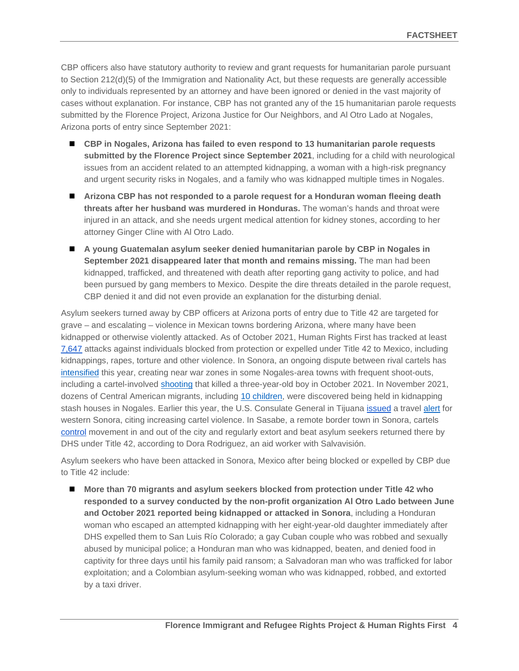CBP officers also have statutory authority to review and grant requests for humanitarian parole pursuant to Section 212(d)(5) of the Immigration and Nationality Act, but these requests are generally accessible only to individuals represented by an attorney and have been ignored or denied in the vast majority of cases without explanation. For instance, CBP has not granted any of the 15 humanitarian parole requests submitted by the Florence Project, Arizona Justice for Our Neighbors, and Al Otro Lado at Nogales, Arizona ports of entry since September 2021:

- CBP in Nogales, Arizona has failed to even respond to 13 humanitarian parole requests **submitted by the Florence Project since September 2021**, including for a child with neurological issues from an accident related to an attempted kidnapping, a woman with a high-risk pregnancy and urgent security risks in Nogales, and a family who was kidnapped multiple times in Nogales.
- Arizona CBP has not responded to a parole request for a Honduran woman fleeing death **threats after her husband was murdered in Honduras.** The woman's hands and throat were injured in an attack, and she needs urgent medical attention for kidney stones, according to her attorney Ginger Cline with Al Otro Lado.
- **A young Guatemalan asylum seeker denied humanitarian parole by CBP in Nogales in September 2021 disappeared later that month and remains missing.** The man had been kidnapped, trafficked, and threatened with death after reporting gang activity to police, and had been pursued by gang members to Mexico. Despite the dire threats detailed in the parole request, CBP denied it and did not even provide an explanation for the disturbing denial.

Asylum seekers turned away by CBP officers at Arizona ports of entry due to Title 42 are targeted for grave – and escalating – violence in Mexican towns bordering Arizona, where many have been kidnapped or otherwise violently attacked. As of October 2021, Human Rights First has tracked at least [7,647](https://www.humanrightsfirst.org/resource/illegal-and-inhumane-biden-administration-continues-embrace-trump-title-42-policy-attacks) attacks against individuals blocked from protection or expelled under Title 42 to Mexico, including kidnappings, rapes, torture and other violence. In Sonora, an ongoing dispute between rival cartels has [intensified](https://lasillarota.com/estados/guerra-entre-carteles-mantiene-en-vilo-al-norte-de-sonora-van-6-dias-de-balaceras/544008) this year, creating near war zones in some Nogales-area towns with frequent shoot-outs, including a cartel-involved [shooting](https://abcnews.go.com/International/wireStory/suspected-cartel-gunmen-north-mexico-kill-year-boy-80529290) that killed a three-year-old boy in October 2021. In November 2021, dozens of Central American migrants, including [10 children,](https://pulsoslp.com.mx/nacional/rescatan-a-53-migrantes-centroamericanos-secuestrados-en-nogales-/1393710) were discovered being held in kidnapping stash houses in Nogales. Earlier this year, the U.S. Consulate General in Tijuana [issued](https://pregonerobaja.com.mx/2021/04/10/estados-unidos-envia-alerta-por-violencia-en-valle-de-mexicali/) a travel [alert](https://www.infobae.com/america/mexico/2021/04/10/eeuu-emitio-alerta-de-seguridad-por-violencia-de-carteles-en-tijuana-y-el-valle-de-mexicali/) for western Sonora, citing increasing cartel violence. In Sasabe, a remote border town in Sonora, cartels [control](https://www.humanrightsfirst.org/sites/default/files/FailuretoProtect.4.20.21.pdf) movement in and out of the city and regularly extort and beat asylum seekers returned there by DHS under Title 42, according to Dora Rodriguez, an aid worker with Salvavisión.

Asylum seekers who have been attacked in Sonora, Mexico after being blocked or expelled by CBP due to Title 42 include:

 **More than 70 migrants and asylum seekers blocked from protection under Title 42 who responded to a survey conducted by the non-profit organization Al Otro Lado between June and October 2021 reported being kidnapped or attacked in Sonora**, including a Honduran woman who escaped an attempted kidnapping with her eight-year-old daughter immediately after DHS expelled them to San Luis Río Colorado; a gay Cuban couple who was robbed and sexually abused by municipal police; a Honduran man who was kidnapped, beaten, and denied food in captivity for three days until his family paid ransom; a Salvadoran man who was trafficked for labor exploitation; and a Colombian asylum-seeking woman who was kidnapped, robbed, and extorted by a taxi driver.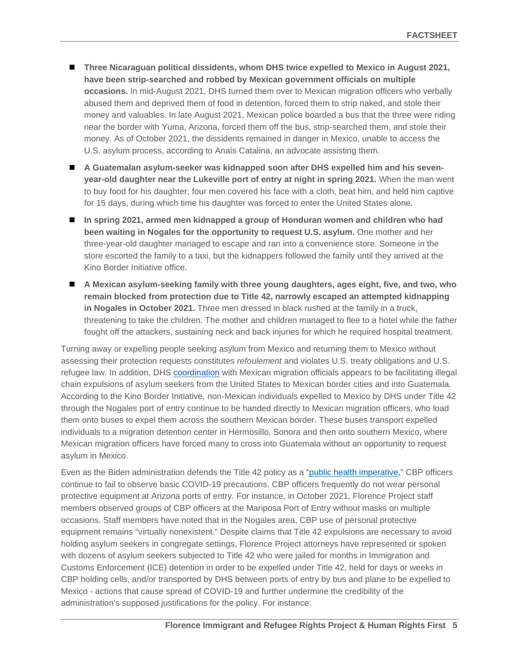- Three Nicaraguan political dissidents, whom DHS twice expelled to Mexico in August 2021, **have been strip-searched and robbed by Mexican government officials on multiple occasions.** In mid-August 2021, DHS turned them over to Mexican migration officers who verbally abused them and deprived them of food in detention, forced them to strip naked, and stole their money and valuables. In late August 2021, Mexican police boarded a bus that the three were riding near the border with Yuma, Arizona, forced them off the bus, strip-searched them, and stole their money. As of October 2021, the dissidents remained in danger in Mexico, unable to access the U.S. asylum process, according to Anaís Catalina, an advocate assisting them.
- A Guatemalan asylum-seeker was kidnapped soon after DHS expelled him and his seven**year-old daughter near the Lukeville port of entry at night in spring 2021.** When the man went to buy food for his daughter, four men covered his face with a cloth, beat him, and held him captive for 15 days, during which time his daughter was forced to enter the United States alone.
- **In spring 2021, armed men kidnapped a group of Honduran women and children who had been waiting in Nogales for the opportunity to request U.S. asylum.** One mother and her three-year-old daughter managed to escape and ran into a convenience store. Someone in the store escorted the family to a taxi, but the kidnappers followed the family until they arrived at the Kino Border Initiative office.
- **A Mexican asylum-seeking family with three young daughters, ages eight, five, and two, who remain blocked from protection due to Title 42, narrowly escaped an attempted kidnapping in Nogales in October 2021.** Three men dressed in black rushed at the family in a truck, threatening to take the children. The mother and children managed to flee to a hotel while the father fought off the attackers, sustaining neck and back injuries for which he required hospital treatment.

Turning away or expelling people seeking asylum from Mexico and returning them to Mexico without assessing their protection requests constitutes *refoulement* and violates U.S. treaty obligations and U.S. refugee law. In addition, DHS [coordination](https://www.humanrightsfirst.org/sites/default/files/IllegalandInhumane.pdf) with Mexican migration officials appears to be facilitating illegal chain expulsions of asylum seekers from the United States to Mexican border cities and into Guatemala. According to the Kino Border Initiative, non-Mexican individuals expelled to Mexico by DHS under Title 42 through the Nogales port of entry continue to be handed directly to Mexican migration officers, who load them onto buses to expel them across the southern Mexican border. These buses transport expelled individuals to a migration detention center in Hermosillo, Sonora and then onto southern Mexico, where Mexican migration officers have forced many to cross into Guatemala without an opportunity to request asylum in Mexico.

Even as the Biden administration defends the Title 42 policy as a ["public health imperative,](https://news.yahoo.com/mayorkas-dhs-title-42-immigration-095900696.html?soc_src=social-sh&soc_trk=tw&tsrc=twtr)" CBP officers continue to fail to observe basic COVID-19 precautions. CBP officers frequently do not wear personal protective equipment at Arizona ports of entry. For instance, in October 2021, Florence Project staff members observed groups of CBP officers at the Mariposa Port of Entry without masks on multiple occasions. Staff members have noted that in the Nogales area, CBP use of personal protective equipment remains "virtually nonexistent." Despite claims that Title 42 expulsions are necessary to avoid holding asylum seekers in congregate settings, Florence Project attorneys have represented or spoken with dozens of asylum seekers subjected to Title 42 who were jailed for months in Immigration and Customs Enforcement (ICE) detention in order to be expelled under Title 42, held for days or weeks in CBP holding cells, and/or transported by DHS between ports of entry by bus and plane to be expelled to Mexico - actions that cause spread of COVID-19 and further undermine the credibility of the administration's supposed justifications for the policy. For instance: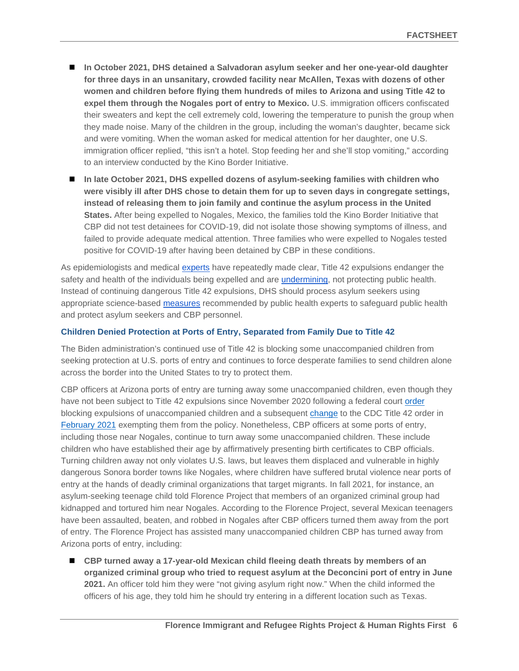- In October 2021, DHS detained a Salvadoran asylum seeker and her one-year-old daughter **for three days in an unsanitary, crowded facility near McAllen, Texas with dozens of other women and children before flying them hundreds of miles to Arizona and using Title 42 to expel them through the Nogales port of entry to Mexico.** U.S. immigration officers confiscated their sweaters and kept the cell extremely cold, lowering the temperature to punish the group when they made noise. Many of the children in the group, including the woman's daughter, became sick and were vomiting. When the woman asked for medical attention for her daughter, one U.S. immigration officer replied, "this isn't a hotel. Stop feeding her and she'll stop vomiting," according to an interview conducted by the Kino Border Initiative.
- In late October 2021, DHS expelled dozens of asylum-seeking families with children who **were visibly ill after DHS chose to detain them for up to seven days in congregate settings, instead of releasing them to join family and continue the asylum process in the United States.** After being expelled to Nogales, Mexico, the families told the Kino Border Initiative that CBP did not test detainees for COVID-19, did not isolate those showing symptoms of illness, and failed to provide adequate medical attention. Three families who were expelled to Nogales tested positive for COVID-19 after having been detained by CBP in these conditions.

As epidemiologists and medical [experts](https://www.publichealth.columbia.edu/node/76271) have repeatedly made clear, Title 42 expulsions endanger the safety and health of the individuals being expelled and are *undermining*, not protecting public health. Instead of continuing dangerous Title 42 expulsions, DHS should process asylum seekers using appropriate science-based [measures](https://www.publichealth.columbia.edu/public-health-now/news/public-health-experts-issue-recommendations-protect-public-health-and-lives-asylum-seekers) recommended by public health experts to safeguard public health and protect asylum seekers and CBP personnel.

### **Children Denied Protection at Ports of Entry, Separated from Family Due to Title 42**

The Biden administration's continued use of Title 42 is blocking some unaccompanied children from seeking protection at U.S. ports of entry and continues to force desperate families to send children alone across the border into the United States to try to protect them.

CBP officers at Arizona ports of entry are turning away some unaccompanied children, even though they have not been subject to Title 42 expulsions since November 2020 following a federal court [order](https://www.acludc.org/sites/default/files/field_documents/080_pjes_opinion_granting_class_and_pi.pdf) blocking expulsions of unaccompanied children and a subsequent [change](https://www.federalregister.gov/documents/2021/02/17/2021-03227/notice-of-temporary-exception-from-expulsion-of-unaccompanied-noncitizen-children-pending) to the CDC Title 42 order in [February 2021](https://www.federalregister.gov/documents/2021/02/17/2021-03227/notice-of-temporary-exception-from-expulsion-of-unaccompanied-noncitizen-children-pending) exempting them from the policy. Nonetheless, CBP officers at some ports of entry, including those near Nogales, continue to turn away some unaccompanied children. These include children who have established their age by affirmatively presenting birth certificates to CBP officials. Turning children away not only violates U.S. laws, but leaves them displaced and vulnerable in highly dangerous Sonora border towns like Nogales, where children have suffered brutal violence near ports of entry at the hands of deadly criminal organizations that target migrants. In fall 2021, for instance, an asylum-seeking teenage child told Florence Project that members of an organized criminal group had kidnapped and tortured him near Nogales. According to the Florence Project, several Mexican teenagers have been assaulted, beaten, and robbed in Nogales after CBP officers turned them away from the port of entry. The Florence Project has assisted many unaccompanied children CBP has turned away from Arizona ports of entry, including:

■ CBP turned away a 17-year-old Mexican child fleeing death threats by members of an **organized criminal group who tried to request asylum at the Deconcini port of entry in June 2021.** An officer told him they were "not giving asylum right now." When the child informed the officers of his age, they told him he should try entering in a different location such as Texas.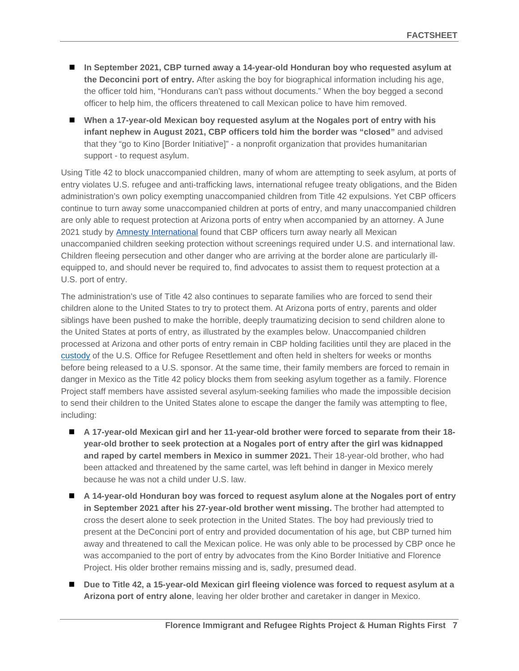- In September 2021, CBP turned away a 14-year-old Honduran boy who requested asylum at **the Deconcini port of entry.** After asking the boy for biographical information including his age, the officer told him, "Hondurans can't pass without documents." When the boy begged a second officer to help him, the officers threatened to call Mexican police to have him removed.
- When a 17-year-old Mexican boy requested asylum at the Nogales port of entry with his **infant nephew in August 2021, CBP officers told him the border was "closed"** and advised that they "go to Kino [Border Initiative]" - a nonprofit organization that provides humanitarian support - to request asylum.

Using Title 42 to block unaccompanied children, many of whom are attempting to seek asylum, at ports of entry violates U.S. refugee and anti-trafficking laws, international refugee treaty obligations, and the Biden administration's own policy exempting unaccompanied children from Title 42 expulsions. Yet CBP officers continue to turn away some unaccompanied children at ports of entry, and many unaccompanied children are only able to request protection at Arizona ports of entry when accompanied by an attorney. A June 2021 study by [Amnesty International](https://www.amnesty.org/en/wp-content/uploads/2021/07/AMR5142002021ENGLISH.pdf) found that CBP officers turn away nearly all Mexican unaccompanied children seeking protection without screenings required under U.S. and international law. Children fleeing persecution and other danger who are arriving at the border alone are particularly illequipped to, and should never be required to, find advocates to assist them to request protection at a U.S. port of entry.

The administration's use of Title 42 also continues to separate families who are forced to send their children alone to the United States to try to protect them. At Arizona ports of entry, parents and older siblings have been pushed to make the horrible, deeply traumatizing decision to send children alone to the United States at ports of entry, as illustrated by the examples below. Unaccompanied children processed at Arizona and other ports of entry remain in CBP holding facilities until they are placed in the [custody](https://www.forbes.com/sites/forbeseq/2021/08/01/end-the-cycle-of-crises-for-unaccompanied-immigrant-children/?sh=733a79311292) of the U.S. Office for Refugee Resettlement and often held in shelters for weeks or months before being released to a U.S. sponsor. At the same time, their family members are forced to remain in danger in Mexico as the Title 42 policy blocks them from seeking asylum together as a family. Florence Project staff members have assisted several asylum-seeking families who made the impossible decision to send their children to the United States alone to escape the danger the family was attempting to flee, including:

- **A 17-year-old Mexican girl and her 11-year-old brother were forced to separate from their 18 year-old brother to seek protection at a Nogales port of entry after the girl was kidnapped and raped by cartel members in Mexico in summer 2021.** Their 18-year-old brother, who had been attacked and threatened by the same cartel, was left behind in danger in Mexico merely because he was not a child under U.S. law.
- A 14-year-old Honduran boy was forced to request asylum alone at the Nogales port of entry **in September 2021 after his 27-year-old brother went missing.** The brother had attempted to cross the desert alone to seek protection in the United States. The boy had previously tried to present at the DeConcini port of entry and provided documentation of his age, but CBP turned him away and threatened to call the Mexican police. He was only able to be processed by CBP once he was accompanied to the port of entry by advocates from the Kino Border Initiative and Florence Project. His older brother remains missing and is, sadly, presumed dead.
- Due to Title 42, a 15-year-old Mexican girl fleeing violence was forced to request asylum at a **Arizona port of entry alone**, leaving her older brother and caretaker in danger in Mexico.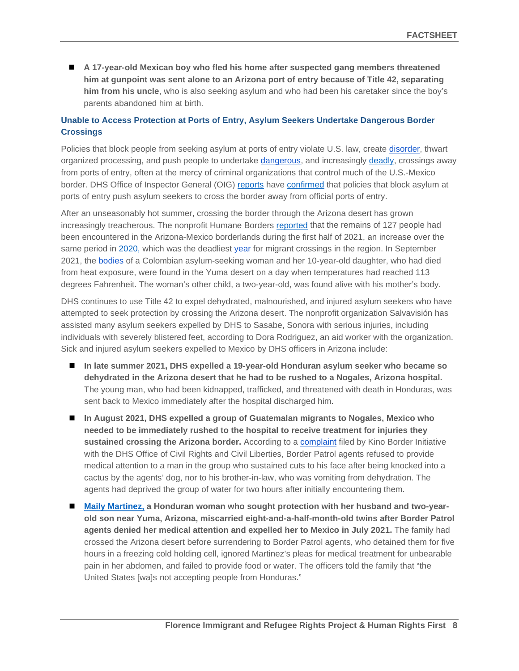**A 17-year-old Mexican boy who fled his home after suspected gang members threatened him at gunpoint was sent alone to an Arizona port of entry because of Title 42, separating him from his uncle**, who is also seeking asylum and who had been his caretaker since the boy's parents abandoned him at birth.

## **Unable to Access Protection at Ports of Entry, Asylum Seekers Undertake Dangerous Border Crossings**

Policies that block people from seeking asylum at ports of entry violate U.S. law, create [disorder,](https://www.elimparcial.com/mundo/VIDEO-Migrantes-cruzan-en-bola-por-la-frontera-de-San-Luis-20210609-0090.html) thwart organized processing, and push people to undertake [dangerous,](https://www.elsoldehermosillo.com.mx/policiaca/rescatan-a-mujer-migrante-con-sus-hijos-en-el-desierto-de-arizona-7172865.html) and increasingly [deadly,](https://www.cbp.gov/newsroom/local-media-release/del-rio-border-patrol-sector-warns-life-threatening-conditions) crossings away from ports of entry, often at the mercy of criminal organizations that control much of the U.S.-Mexico border. DHS Office of Inspector General (OIG) [reports](https://www.oig.dhs.gov/sites/default/files/assets/2018-10/OIG-18-84-Sep18.pdf) have [confirmed](https://www.oig.dhs.gov/sites/default/files/assets/2020-10/OIG-21-02-Oct20.pdf) that policies that block asylum at ports of entry push asylum seekers to cross the border away from official ports of entry.

After an unseasonably hot summer, crossing the border through the Arizona desert has grown increasingly treacherous. The nonprofit Humane Borders [reported](https://www.theguardian.com/us-news/2021/jul/12/us-immigration-bodies-heat-arizona) that the remains of 127 people had been encountered in the Arizona-Mexico borderlands during the first half of 2021, an increase over the same period in [2020,](https://www.theguardian.com/us-news/2021/jan/30/us-mexico-border-crossings-arizona-2020-deadliest-year) which was the deadliest [year](https://preprint.press.jhu.edu/jhcpu/sites/default/files/KoleskiFinalCEPPR.pdf) for migrant crossings in the region. In September 2021, the [bodies](https://www.abc15.com/news/state/asylum-seeker-mother-and-10-year-old-daughter-found-dead-in-desert-near-yuma) of a Colombian asylum-seeking woman and her 10-year-old daughter, who had died from heat exposure, were found in the Yuma desert on a day when temperatures had reached 113 degrees Fahrenheit. The woman's other child, a two-year-old, was found alive with his mother's body.

DHS continues to use Title 42 to expel dehydrated, malnourished, and injured asylum seekers who have attempted to seek protection by crossing the Arizona desert. The nonprofit organization Salvavisión has assisted many asylum seekers expelled by DHS to Sasabe, Sonora with serious injuries, including individuals with severely blistered feet, according to Dora Rodriguez, an aid worker with the organization. Sick and injured asylum seekers expelled to Mexico by DHS officers in Arizona include:

- In late summer 2021, DHS expelled a 19-year-old Honduran asylum seeker who became so **dehydrated in the Arizona desert that he had to be rushed to a Nogales, Arizona hospital.** The young man, who had been kidnapped, trafficked, and threatened with death in Honduras, was sent back to Mexico immediately after the hospital discharged him.
- **In August 2021, DHS expelled a group of Guatemalan migrants to Nogales, Mexico who needed to be immediately rushed to the hospital to receive treatment for injuries they sustained crossing the Arizona border.** According to a [complaint](https://www.kinoborderinitiative.org/wp-content/uploads/2021/08/KINO-NETWORK-CBP-Abuses-consolidated.pdf) filed by Kino Border Initiative with the DHS Office of Civil Rights and Civil Liberties, Border Patrol agents refused to provide medical attention to a man in the group who sustained cuts to his face after being knocked into a cactus by the agents' dog, nor to his brother-in-law, who was vomiting from dehydration. The agents had deprived the group of water for two hours after initially encountering them.
- [Maily Martinez,](https://urldefense.com/v3/__https:/www.youtube.com/watch?v=MXZ9e1jQTew__;!!Lk31oBA0z-9QMnO0!RariDdn7YJGuE2MzBDGRBi6fe_7Uh3T_JAXqENNdiWmJYIrNze-5vmfwk08uyQl68jkpL2s$) a Honduran woman who sought protection with her husband and two-year**old son near Yuma, Arizona, miscarried eight-and-a-half-month-old twins after Border Patrol agents denied her medical attention and expelled her to Mexico in July 2021.** The family had crossed the Arizona desert before surrendering to Border Patrol agents, who detained them for five hours in a freezing cold holding cell, ignored Martinez's pleas for medical treatment for unbearable pain in her abdomen, and failed to provide food or water. The officers told the family that "the United States [wa]s not accepting people from Honduras."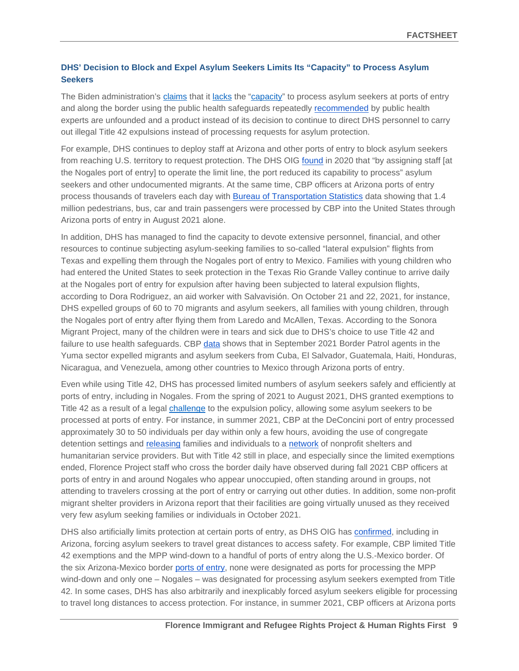## **DHS' Decision to Block and Expel Asylum Seekers Limits Its "Capacity" to Process Asylum Seekers**

The Biden administration's [claims](https://nypost.com/2021/09/28/dhs-chief-alejandro-mayorkas-says-1-in-5-migrants-have-illness-after-del-rio-fiasco/) that it [lacks](https://int.nyt.com/data/documenttools/shahoulian-declaration/1b52f4354fb0d655/full.pdf) the ["capacity"](https://www.dhs.gov/news/2021/08/12/secretary-mayorkas-delivers-remarks-brownsville-texas) to process asylum seekers at ports of entry and along the border using the public health safeguards repeatedly [recommended](https://www.publichealth.columbia.edu/sites/default/files/public_health_recommendations_for_processing_families_children_and_adults_seeking_asylum_or_other_protection_at_the_border_dec2020_0.pdf) by public health experts are unfounded and a product instead of its decision to continue to direct DHS personnel to carry out illegal Title 42 expulsions instead of processing requests for asylum protection.

For example, DHS continues to deploy staff at Arizona and other ports of entry to block asylum seekers from reaching U.S. territory to request protection. The DHS OIG [found](https://www.oig.dhs.gov/sites/default/files/assets/2020-10/OIG-21-02-Oct20.pdf) in 2020 that "by assigning staff [at the Nogales port of entry] to operate the limit line, the port reduced its capability to process" asylum seekers and other undocumented migrants. At the same time, CBP officers at Arizona ports of entry process thousands of travelers each day with [Bureau of Transportation Statistics](https://www.bts.gov/browse-statistical-products-and-data/border-crossing-data/border-crossingentry-data) data showing that 1.4 million pedestrians, bus, car and train passengers were processed by CBP into the United States through Arizona ports of entry in August 2021 alone.

In addition, DHS has managed to find the capacity to devote extensive personnel, financial, and other resources to continue subjecting asylum-seeking families to so-called "lateral expulsion" flights from Texas and expelling them through the Nogales port of entry to Mexico. Families with young children who had entered the United States to seek protection in the Texas Rio Grande Valley continue to arrive daily at the Nogales port of entry for expulsion after having been subjected to lateral expulsion flights, according to Dora Rodriguez, an aid worker with Salvavisión. On October 21 and 22, 2021, for instance, DHS expelled groups of 60 to 70 migrants and asylum seekers, all families with young children, through the Nogales port of entry after flying them from Laredo and McAllen, Texas. According to the Sonora Migrant Project, many of the children were in tears and sick due to DHS's choice to use Title 42 and failure to use health safeguards. CBP [data](https://www.cbp.gov/newsroom/stats/nationwide-encounters) shows that in September 2021 Border Patrol agents in the Yuma sector expelled migrants and asylum seekers from Cuba, El Salvador, Guatemala, Haiti, Honduras, Nicaragua, and Venezuela, among other countries to Mexico through Arizona ports of entry.

Even while using Title 42, DHS has processed limited numbers of asylum seekers safely and efficiently at ports of entry, including in Nogales. From the spring of 2021 to August 2021, DHS granted exemptions to Title 42 as a result of a legal [challenge](https://www.acludc.org/en/cases/huisha-huisha-v-gaynor-defending-due-process-rights-children-seeking-refuge-us-during-covid19) to the expulsion policy, allowing some asylum seekers to be processed at ports of entry. For instance, in summer 2021, CBP at the DeConcini port of entry processed approximately 30 to 50 individuals per day within only a few hours, avoiding the use of congregate detention settings and [releasing](https://news.azpm.org/p/news-splash/2021/6/13/195891-ngo-asylum-program-comes-to-arizona/) families and individuals to a [network](https://news.azpm.org/p/newsfeature/2021/7/20/197481-uncertainty-abound-as-some-asylum-seekers-bypass-pandemic-era-restrictions-at-border/) of nonprofit shelters and humanitarian service providers. But with Title 42 still in place, and especially since the limited exemptions ended, Florence Project staff who cross the border daily have observed during fall 2021 CBP officers at ports of entry in and around Nogales who appear unoccupied, often standing around in groups, not attending to travelers crossing at the port of entry or carrying out other duties. In addition, some non-profit migrant shelter providers in Arizona report that their facilities are going virtually unused as they received very few asylum seeking families or individuals in October 2021.

DHS also artificially limits protection at certain ports of entry, as DHS OIG has [confirmed,](https://www.oig.dhs.gov/sites/default/files/assets/2020-10/OIG-21-02-Oct20.pdf) including in Arizona, forcing asylum seekers to travel great distances to access safety. For example, CBP limited Title 42 exemptions and the MPP wind-down to a handful of ports of entry along the U.S.-Mexico border. Of the six Arizona-Mexico border [ports of entry,](https://www.cbp.gov/contact/ports/az) none were designated as ports for processing the MPP wind-down and only one – Nogales – was designated for processing asylum seekers exempted from Title 42. In some cases, DHS has also arbitrarily and inexplicably forced asylum seekers eligible for processing to travel long distances to access protection. For instance, in summer 2021, CBP officers at Arizona ports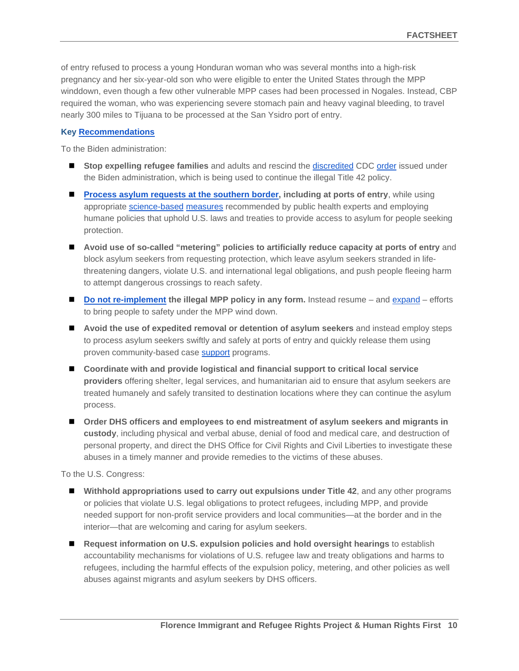of entry refused to process a young Honduran woman who was several months into a high-risk pregnancy and her six-year-old son who were eligible to enter the United States through the MPP winddown, even though a few other vulnerable MPP cases had been processed in Nogales. Instead, CBP required the woman, who was experiencing severe stomach pain and heavy vaginal bleeding, to travel nearly 300 miles to Tijuana to be processed at the San Ysidro port of entry.

#### **Key [Recommendations](https://www.humanrightsfirst.org/resource/recommendations-biden-administration-upholding-us-refugee-law-and-restoring-asylum)**

To the Biden administration:

- **Stop expelling refugee families** and adults and rescind the [discredited](https://www.aclu.org/legal-document/supplemental-declaration-former-cdc-officials) CDC [order](https://www.govinfo.gov/content/pkg/FR-2021-08-05/pdf/2021-16856.pdf) issued under the Biden administration, which is being used to continue the illegal Title 42 policy.
- **[Process asylum requests at the southern border,](https://welcomewithdignity.org/wp-content/uploads/2021/10/wwd-recommendations.pdf) including at ports of entry**, while using appropriate [science-based](https://www.publichealth.columbia.edu/sites/default/files/public_health_recommendations_for_processing_families_children_and_adults_seeking_asylum_or_other_protection_at_the_border_dec2020_0.pdf) [measures](https://www.publichealth.columbia.edu/research/program-forced-migration-and-health/letter-cdc-director-walensky-hhs-secretary-becerra-and-dhs-secretary-mayorkas-august-2021-title-42-0) recommended by public health experts and employing humane policies that uphold U.S. laws and treaties to provide access to asylum for people seeking protection.
- **Avoid use of so-called "metering" policies to artificially reduce capacity at ports of entry** and block asylum seekers from requesting protection, which leave asylum seekers stranded in lifethreatening dangers, violate U.S. and international legal obligations, and push people fleeing harm to attempt dangerous crossings to reach safety.
- **[Do not re-implement](https://www.humanrightsfirst.org/resource/legal-service-providers-joint-letter-mpp) the illegal MPP policy in any form.** Instead resume and [expand](https://www.humanrightsfirst.org/sites/default/files/MPPWindDownNGOLetter_FINAL.pdf) efforts to bring people to safety under the MPP wind down.
- **Avoid the use of expedited removal or detention of asylum seekers** and instead employ steps to process asylum seekers swiftly and safely at ports of entry and quickly release them using proven community-based case [support](https://www.womensrefugeecommission.org/research-resources/community-support-for-migrants-navigating-the-us-immigration-system/) programs.
- Coordinate with and provide logistical and financial support to critical local service **providers** offering shelter, legal services, and humanitarian aid to ensure that asylum seekers are treated humanely and safely transited to destination locations where they can continue the asylum process.
- Order DHS officers and employees to end mistreatment of asylum seekers and migrants in **custody**, including physical and verbal abuse, denial of food and medical care, and destruction of personal property, and direct the DHS Office for Civil Rights and Civil Liberties to investigate these abuses in a timely manner and provide remedies to the victims of these abuses.

To the U.S. Congress:

- **Withhold appropriations used to carry out expulsions under Title 42**, and any other programs or policies that violate U.S. legal obligations to protect refugees, including MPP, and provide needed support for non-profit service providers and local communities—at the border and in the interior—that are welcoming and caring for asylum seekers.
- **Request information on U.S. expulsion policies and hold oversight hearings** to establish accountability mechanisms for violations of U.S. refugee law and treaty obligations and harms to refugees, including the harmful effects of the expulsion policy, metering, and other policies as well abuses against migrants and asylum seekers by DHS officers.